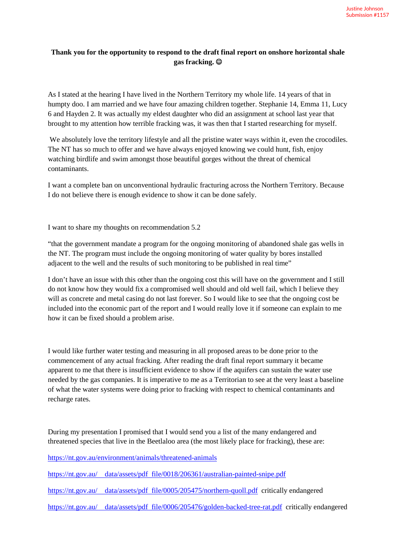## **Thank you for the opportunity to respond to the draft final report on onshore horizontal shale gas fracking.**

As I stated at the hearing I have lived in the Northern Territory my whole life. 14 years of that in humpty doo. I am married and we have four amazing children together. Stephanie 14, Emma 11, Lucy 6 and Hayden 2. It was actually my eldest daughter who did an assignment at school last year that brought to my attention how terrible fracking was, it was then that I started researching for myself.

We absolutely love the territory lifestyle and all the pristine water ways within it, even the crocodiles. The NT has so much to offer and we have always enjoyed knowing we could hunt, fish, enjoy watching birdlife and swim amongst those beautiful gorges without the threat of chemical contaminants.

I want a complete ban on unconventional hydraulic fracturing across the Northern Territory. Because I do not believe there is enough evidence to show it can be done safely.

I want to share my thoughts on recommendation 5.2

"that the government mandate a program for the ongoing monitoring of abandoned shale gas wells in the NT. The program must include the ongoing monitoring of water quality by bores installed adjacent to the well and the results of such monitoring to be published in real time"

I don't have an issue with this other than the ongoing cost this will have on the government and I still do not know how they would fix a compromised well should and old well fail, which I believe they will as concrete and metal casing do not last forever. So I would like to see that the ongoing cost be included into the economic part of the report and I would really love it if someone can explain to me how it can be fixed should a problem arise.

I would like further water testing and measuring in all proposed areas to be done prior to the commencement of any actual fracking. After reading the draft final report summary it became apparent to me that there is insufficient evidence to show if the aquifers can sustain the water use needed by the gas companies. It is imperative to me as a Territorian to see at the very least a baseline of what the water systems were doing prior to fracking with respect to chemical contaminants and recharge rates.

During my presentation I promised that I would send you a list of the many endangered and threatened species that live in the Beetlaloo area (the most likely place for fracking), these are:

https://nt.gov.au/environment/animals/threatened-animals

https://nt.gov.au/ data/assets/pdf file/0018/206361/australian-painted-snipe.pdf

https://nt.gov.au/ data/assets/pdf file/0005/205475/northern-quoll.pdf critically endangered

https://nt.gov.au/ data/assets/pdf file/0006/205476/golden-backed-tree-rat.pdf critically endangered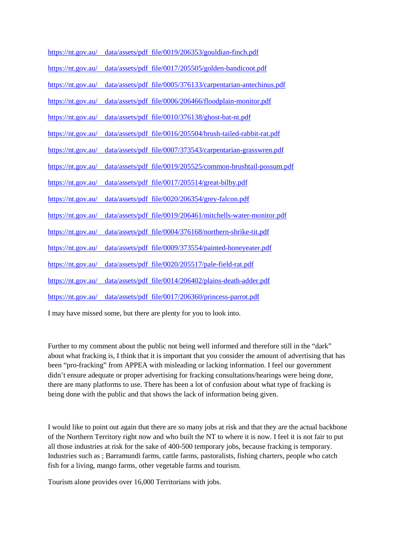|                                                  | https://nt.gov.au/ data/assets/pdf file/0019/206353/gouldian-finch.pdf  |
|--------------------------------------------------|-------------------------------------------------------------------------|
| $\frac{https://nt.gov.au/}{https://nt.gov.au/}$  | data/assets/pdf file/0017/205505/golden-bandicoot.pdf                   |
| $\frac{https://nt.gov.au/}{https://nt.gov.au/}$  | data/assets/pdf file/0005/376133/carpentarian-antechinus.pdf            |
| https://nt.gov.au/                               | data/assets/pdf file/0006/206466/floodplain-monitor.pdf                 |
| $\frac{https://nt.gov.au/}{https://nt.gov.au/}}$ | data/assets/pdf file/0010/376138/ghost-bat-nt.pdf                       |
| $\frac{https://nt.gov.au/}{$                     | data/assets/pdf file/0016/205504/brush-tailed-rabbit-rat.pdf            |
| $\frac{https://nt.gov.au/}{https://nt.gov.au/}}$ | data/assets/pdf file/0007/373543/carpentarian-grasswren.pdf             |
| https://nt.gov.au/                               | data/assets/pdf file/0019/205525/common-brushtail-possum.pdf            |
| https://nt.gov.au/                               | data/assets/pdf file/0017/205514/great-bilby.pdf                        |
| $\frac{https://nt.gov.au/}{https://nt.gov.au/}$  | data/assets/pdf file/0020/206354/grey-falcon.pdf                        |
| $\frac{https://nt.gov.au/}{https://nt.gov.au/}$  | data/assets/pdf file/0019/206461/mitchells-water-monitor.pdf            |
| https://nt.gov.au/                               | data/assets/pdf file/0004/376168/northern-shrike-tit.pdf                |
| $\frac{https://nt.gov.au/}{$                     | data/assets/pdf file/0009/373554/painted-honeyeater.pdf                 |
| $\frac{https://nt.gov.au/}{https://nt.gov.au/}$  | data/assets/pdf file/0020/205517/pale-field-rat.pdf                     |
| https://nt.gov.au/                               | data/assets/pdf file/0014/206402/plains-death-adder.pdf                 |
|                                                  | https://nt.gov.au/ data/assets/pdf file/0017/206360/princess-parrot.pdf |

I may have missed some, but there are plenty for you to look into.

Further to my comment about the public not being well informed and therefore still in the "dark" about what fracking is, I think that it is important that you consider the amount of advertising that has been "pro-fracking" from APPEA with misleading or lacking information. I feel our government didn't ensure adequate or proper advertising for fracking consultations/hearings were being done, there are many platforms to use. There has been a lot of confusion about what type of fracking is being done with the public and that shows the lack of information being given.

I would like to point out again that there are so many jobs at risk and that they are the actual backbone of the Northern Territory right now and who built the NT to where it is now. I feel it is not fair to put all those industries at risk for the sake of 400-500 temporary jobs, because fracking is temporary. Industries such as ; Barramundi farms, cattle farms, pastoralists, fishing charters, people who catch fish for a living, mango farms, other vegetable farms and tourism.

Tourism alone provides over 16,000 Territorians with jobs.